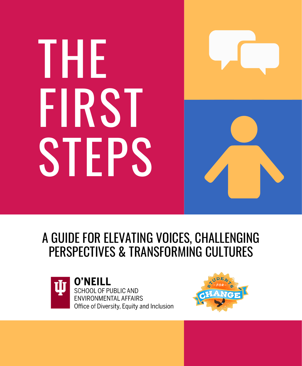# THE FIRST STEPS



#### A GUIDE FOR ELEVATING VOICES, CHALLENGING PERSPECTIVES & TRANSFORMING CULTURES



**O'NEILL** SCHOOL OF PUBLIC AND **ENVIRONMENTAL AFFAIRS** Office of Diversity, Equity and Inclusion

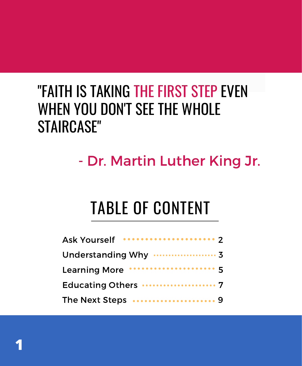### "FAITH IS TAKING THE FIRST STEP EVEN WHEN YOU DON'T SEE THE WHOLE STAIRCASE"

### - Dr. Martin Luther King Jr.

# TABLE OF CONTENT

| Ask Yourself ********************* 2 |
|--------------------------------------|
|                                      |
| Learning More ******************** 5 |
| Educating Others  7                  |
| The Next Steps  9                    |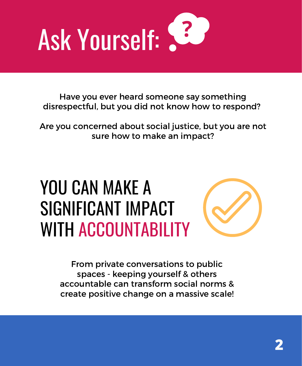

Have you ever heard someone say something disrespectful, but you did not know how to respond? disrespectful, but you did not know how to respond?<br>Are you concerned about social justice, but you are not

sure you are not know now to k<br>cerned about social justice, but y<br>sure how to make an impact?

# YOU CAN MAKE A SIGNIFICANT IMPACT WITH ACCOUNTABILITY

From private conversations to public spaces - keeping yourself & others accountable can transform social norms & create positive change on a massive scale!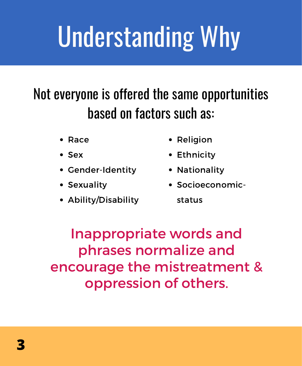# Understanding Why

### Not everyone is offered the same opportunities based on factors such as:

- $\bullet$  Race
- Sex
- Gender-Identity
- Sexuality
- Ability/Disability
- Religion
- Ethnicity
- Nationality
- Socioeconomic-

status

Inappropriate words and phrases normalize and encourage the mistreatment & approprate words and<br>hrases normalize and<br>urage the mistreatme<br>oppression of others.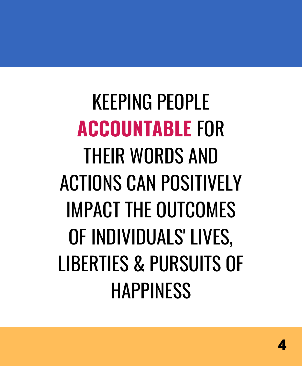KEEPING PEOPLE **ACCOUNTABLE** FOR THEIR WORDS AND ACTIONS CAN POSITIVELY IMPACT THE OUTCOMES OF INDIVIDUALS' LIVES, LIBERTIES & PURSUITS OF **HAPPINESS**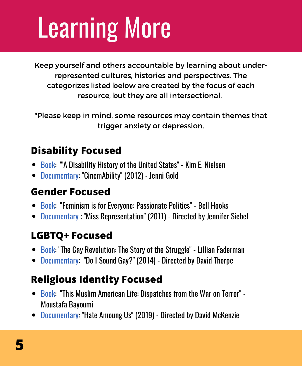# Learning More

Keep yourself and others accountable by learning about underrepresented cultures, histories and perspectives. The categorizes listed below are created by the focus of each resource, but they are all intersectional.

\*Please keep in mind, some resources may contain themes that trigger anxiety or depression.

#### **Disability Focused**

- Book: "A Disability History of the United States" Kim E. Nielsen
- Documentary: "CinemAbility" (2012) Jenni Gold

#### **Gender Focused**

- Book: "Feminism is for Everyone: Passionate Politics" Bell Hooks
- Documentary : "Miss Representation" (2011) Directed by Jennifer Siebel

#### **LGBTQ+ Focused**

- Book: "The Gay Revolution: The Story of the Struggle" Lillian Faderman
- Documentary: "Do I Sound Gay?" (2014) Directed by David Thorpe

#### **Religious Identity Focused**

- Book: "This Muslim American Life: Dispatches from the War on Terror" -Moustafa Bayoumi
- Documentary: "Hate Amoung Us" (2019) Directed by David McKenzie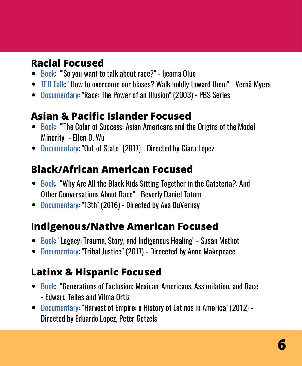#### **Racial Focused**

- Book: "So you want to talk about race?" Ijeoma Oluo
- TED Talk: "How to overcome our biases? Walk boldly toward them" Vernā Myers
- Documentary: "Race: The Power of an Illusion" (2003) PBS Series

#### **Asian & Pacific Islander Focused**

- Book: "The Color of Success: Asian Americans and the Origins of the Model Minority" - Ellen D. Wu
- Documentary: "Out of State" (2017) Directed by Ciara Lopez

#### **Black/African American Focused**

- Book: "Why Are All the Black Kids Sitting Together in the Cafeteria?: And Other Conversations About Race" - Beverly Daniel Tatum
- Documentary: "13th" (2016) Directed by Ava DuVernay

#### **Indigenous/Native American Focused**

- Book: "Legacy: Trauma, Story, and Indigenous Healing" Susan Methot
- Documentary: "Tribal Justice" (2017) Direceted by Anne Makepeace

#### **Latinx & Hispanic Focused**

- Book: "Generations of Exclusion: Mexican-Americans, Assimilation, and Race" - Edward Telles and Vilma Ortiz
- Documentary: "Harvest of Empire: a History of Latinos in America" (2012) Directed by Eduardo Lopez, Peter Getzels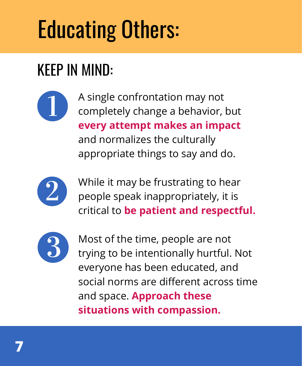# Educating Others:

## KEEP IN MIND:

A single confrontation may not completely change a behavior, but **every attempt makes an impact** and normalizes the culturally appropriate things to say and do.



While it may be frustrating to hear people speak inappropriately, it is critical to **be patient and respectful.**



Most of the time, people are not trying to be intentionally hurtful. Not everyone has been educated, and social norms are different across time and space. **Approach these situations with compassion.**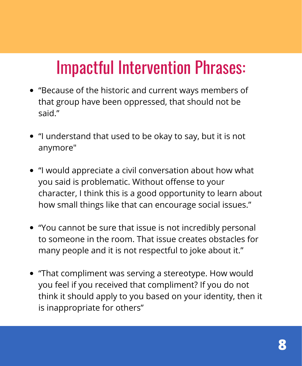# Impactful Intervention Phrases:

- "Because of the historic and current ways members of that group have been oppressed, that should not be said."
- "I understand that used to be okay to say, but it is not anymore"
- "I would appreciate a civil conversation about how what you said is problematic. Without offense to your character, I think this is a good opportunity to learn about how small things like that can encourage social issues."
- "You cannot be sure that issue is not incredibly personal to someone in the room. That issue creates obstacles for many people and it is not respectful to joke about it."
- "That compliment was serving a stereotype. How would you feel if you received that compliment? If you do not think it should apply to you based on your identity, then it is inappropriate for others"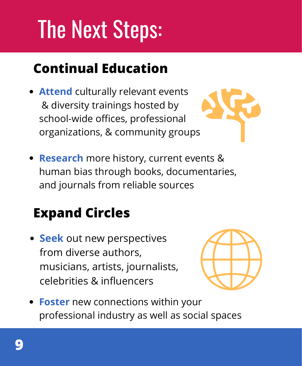# The Next Steps:

#### **Continual Education**

**Attend** culturally relevant events & diversity trainings hosted by school-wide offices, professional organizations, & community groups



**Research** more history, current events & human bias through books, documentaries, and journals from reliable sources

### **Expand Circles**

**Seek** out new perspectives from diverse authors, musicians, artists, journalists, celebrities & influencers



**Foster** new connections within your professional industry as well as social spaces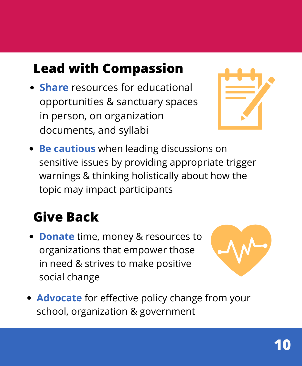#### **Lead with Compassion**

**Share** resources for educational opportunities & sanctuary spaces in person, on organization documents, and syllabi



**Be cautious** when leading discussions on sensitive issues by providing appropriate trigger warnings & thinking holistically about how the topic may impact participants

#### **Give Back**

**Donate** time, money & resources to organizations that empower those in need & strives to make positive social change



**Advocate** for effective policy change from your school, organization & government